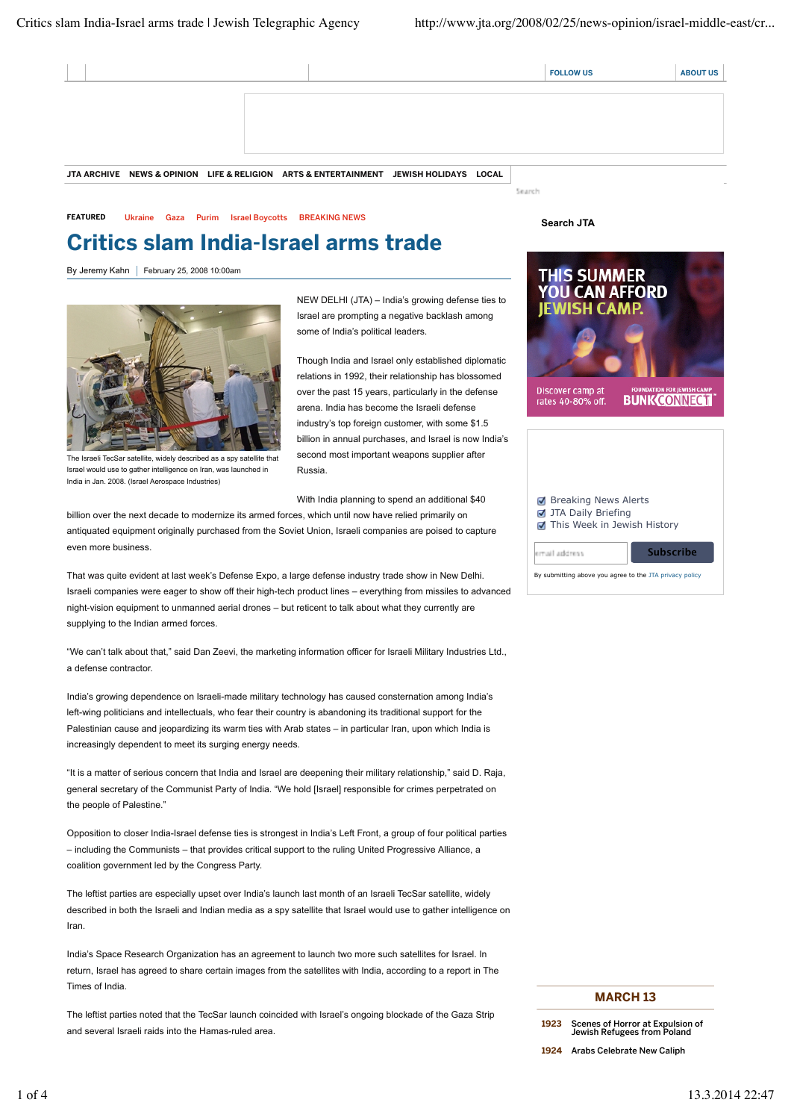|  |  |                                                                                       |  | <b>FOLLOW US</b> | <b>ABOUT US</b> |
|--|--|---------------------------------------------------------------------------------------|--|------------------|-----------------|
|  |  |                                                                                       |  |                  |                 |
|  |  |                                                                                       |  |                  |                 |
|  |  |                                                                                       |  |                  |                 |
|  |  |                                                                                       |  |                  |                 |
|  |  | JTA ARCHIVE NEWS & OPINION LIFE & RELIGION ARTS & ENTERTAINMENT JEWISH HOLIDAYS LOCAL |  |                  |                 |

FEATURED Ukraine Gaza Purim Israel Boycotts BREAKING NEWS

## Critics slam India-Israel arms trade

By Jeremy Kahn | February 25, 2008 10:00am



The Israeli TecSar satellite, widely described as a spy satellite that Israel would use to gather intelligence on Iran, was launched in India in Jan. 2008. (Israel Aerospace Industries)

NEW DELHI (JTA) – India's growing defense ties to Israel are prompting a negative backlash among some of India's political leaders.

Though India and Israel only established diplomatic relations in 1992, their relationship has blossomed over the past 15 years, particularly in the defense arena. India has become the Israeli defense industry's top foreign customer, with some \$1.5 billion in annual purchases, and Israel is now India's second most important weapons supplier after Russia.

With India planning to spend an additional \$40

billion over the next decade to modernize its armed forces, which until now have relied primarily on antiquated equipment originally purchased from the Soviet Union, Israeli companies are poised to capture even more business.

That was quite evident at last week's Defense Expo, a large defense industry trade show in New Delhi. Israeli companies were eager to show off their high-tech product lines – everything from missiles to advanced night-vision equipment to unmanned aerial drones – but reticent to talk about what they currently are supplying to the Indian armed forces.

"We can't talk about that," said Dan Zeevi, the marketing information officer for Israeli Military Industries Ltd., a defense contractor.

India's growing dependence on Israeli-made military technology has caused consternation among India's left-wing politicians and intellectuals, who fear their country is abandoning its traditional support for the Palestinian cause and jeopardizing its warm ties with Arab states – in particular Iran, upon which India is increasingly dependent to meet its surging energy needs.

"It is a matter of serious concern that India and Israel are deepening their military relationship," said D. Raja, general secretary of the Communist Party of India. "We hold [Israel] responsible for crimes perpetrated on the people of Palestine."

Opposition to closer India-Israel defense ties is strongest in India's Left Front, a group of four political parties – including the Communists – that provides critical support to the ruling United Progressive Alliance, a coalition government led by the Congress Party.

The leftist parties are especially upset over India's launch last month of an Israeli TecSar satellite, widely described in both the Israeli and Indian media as a spy satellite that Israel would use to gather intelligence on Iran.

India's Space Research Organization has an agreement to launch two more such satellites for Israel. In return, Israel has agreed to share certain images from the satellites with India, according to a report in The Times of India.

The leftist parties noted that the TecSar launch coincided with Israel's ongoing blockade of the Gaza Strip and several Israeli raids into the Hamas-ruled area.

**Search JTA**

Search



| <b>■</b> Breaking News Alerts<br><b>7</b> JTA Daily Briefing<br>This Week in Jewish History |                  |  |  |  |  |  |
|---------------------------------------------------------------------------------------------|------------------|--|--|--|--|--|
| ernail address                                                                              | <b>Subscribe</b> |  |  |  |  |  |
| By submitting above you agree to the JTA privacy policy                                     |                  |  |  |  |  |  |

## MARCH 13

1924 Arabs Celebrate New Caliph

<sup>1923</sup> Scenes of Horror at Expulsion of Jewish Refugees from Poland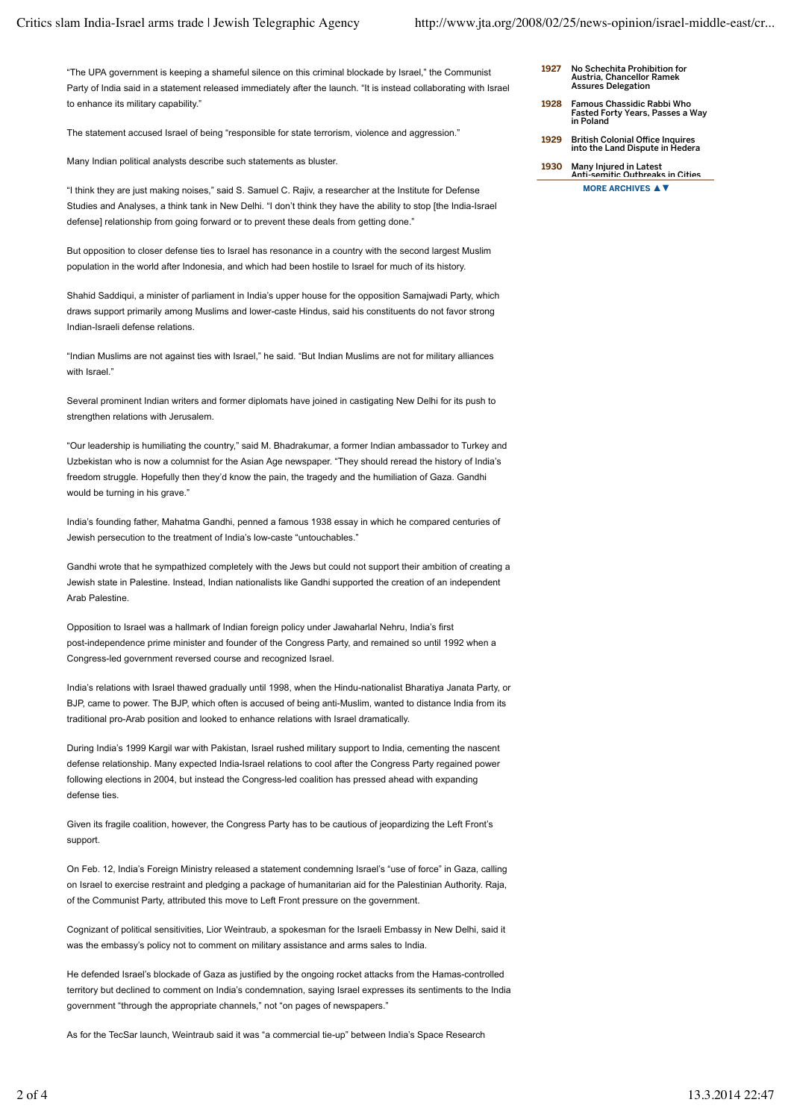"The UPA government is keeping a shameful silence on this criminal blockade by Israel," the Communist Party of India said in a statement released immediately after the launch. "It is instead collaborating with Israel to enhance its military capability."

The statement accused Israel of being "responsible for state terrorism, violence and aggression."

Many Indian political analysts describe such statements as bluster.

"I think they are just making noises," said S. Samuel C. Rajiv, a researcher at the Institute for Defense Studies and Analyses, a think tank in New Delhi. "I don't think they have the ability to stop [the India-Israel defense] relationship from going forward or to prevent these deals from getting done."

But opposition to closer defense ties to Israel has resonance in a country with the second largest Muslim population in the world after Indonesia, and which had been hostile to Israel for much of its history.

Shahid Saddiqui, a minister of parliament in India's upper house for the opposition Samajwadi Party, which draws support primarily among Muslims and lower-caste Hindus, said his constituents do not favor strong Indian-Israeli defense relations.

"Indian Muslims are not against ties with Israel," he said. "But Indian Muslims are not for military alliances with Israel."

Several prominent Indian writers and former diplomats have joined in castigating New Delhi for its push to strengthen relations with Jerusalem.

"Our leadership is humiliating the country," said M. Bhadrakumar, a former Indian ambassador to Turkey and Uzbekistan who is now a columnist for the Asian Age newspaper. "They should reread the history of India's freedom struggle. Hopefully then they'd know the pain, the tragedy and the humiliation of Gaza. Gandhi would be turning in his grave."

India's founding father, Mahatma Gandhi, penned a famous 1938 essay in which he compared centuries of Jewish persecution to the treatment of India's low-caste "untouchables."

Gandhi wrote that he sympathized completely with the Jews but could not support their ambition of creating a Jewish state in Palestine. Instead, Indian nationalists like Gandhi supported the creation of an independent Arab Palestine.

Opposition to Israel was a hallmark of Indian foreign policy under Jawaharlal Nehru, India's first post-independence prime minister and founder of the Congress Party, and remained so until 1992 when a Congress-led government reversed course and recognized Israel.

India's relations with Israel thawed gradually until 1998, when the Hindu-nationalist Bharatiya Janata Party, or BJP, came to power. The BJP, which often is accused of being anti-Muslim, wanted to distance India from its traditional pro-Arab position and looked to enhance relations with Israel dramatically.

During India's 1999 Kargil war with Pakistan, Israel rushed military support to India, cementing the nascent defense relationship. Many expected India-Israel relations to cool after the Congress Party regained power following elections in 2004, but instead the Congress-led coalition has pressed ahead with expanding defense ties.

Given its fragile coalition, however, the Congress Party has to be cautious of jeopardizing the Left Front's support.

On Feb. 12, India's Foreign Ministry released a statement condemning Israel's "use of force" in Gaza, calling on Israel to exercise restraint and pledging a package of humanitarian aid for the Palestinian Authority. Raja, of the Communist Party, attributed this move to Left Front pressure on the government.

Cognizant of political sensitivities, Lior Weintraub, a spokesman for the Israeli Embassy in New Delhi, said it was the embassy's policy not to comment on military assistance and arms sales to India.

He defended Israel's blockade of Gaza as justified by the ongoing rocket attacks from the Hamas-controlled territory but declined to comment on India's condemnation, saying Israel expresses its sentiments to the India government "through the appropriate channels," not "on pages of newspapers."

As for the TecSar launch, Weintraub said it was "a commercial tie-up" between India's Space Research

- 1927 No Schechita Prohibition for Austria, Chancellor Ramek Assures Delegation
- 1928 Famous Chassidic Rabbi Who Fasted Forty Years, Passes a Way in Poland
- 1929 British Colonial Office Inquires into the Land Dispute in Hedera

MORE ARCHIVES **▲▼** 1930 Many Injured in Latest Anti-semitic Outbreaks in Cities